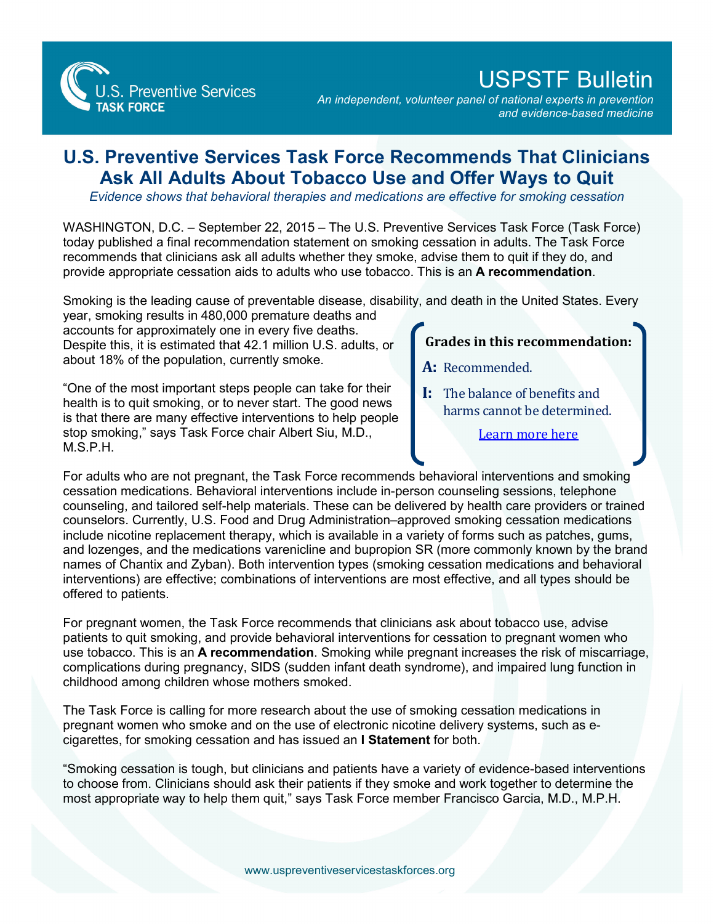**S. Preventive Services TASK FORCE** 

## USPSTF Bulletin

*An independent, volunteer panel of national experts in prevention and evidence-based medicine*

## **U.S. Preventive Services Task Force Recommends That Clinicians Ask All Adults About Tobacco Use and Offer Ways to Quit**

*Evidence shows that behavioral therapies and medications are effective for smoking cessation*

WASHINGTON, D.C. – September 22, 2015 – The U.S. Preventive Services Task Force (Task Force) today published a final recommendation statement on smoking cessation in adults. The Task Force recommends that clinicians ask all adults whether they smoke, advise them to quit if they do, and provide appropriate cessation aids to adults who use tobacco. This is an **A recommendation**.

Smoking is the leading cause of preventable disease, disability, and death in the United States. Every

year, smoking results in 480,000 premature deaths and accounts for approximately one in every five deaths. Despite this, it is estimated that 42.1 million U.S. adults, or about 18% of the population, currently smoke.

"One of the most important steps people can take for their health is to quit smoking, or to never start. The good news is that there are many effective interventions to help people stop smoking," says Task Force chair Albert Siu, M.D., M.S.P.H.

## **Grades in this recommendation:**

- **A:** Recommended.
- **I:** The balance of benefits and harms cannot be determined.

[Learn more here](http://www.uspreventiveservicestaskforce.org/Page/Name/grade-definitions)

For adults who are not pregnant, the Task Force recommends behavioral interventions and smoking cessation medications. Behavioral interventions include in-person counseling sessions, telephone counseling, and tailored self-help materials. These can be delivered by health care providers or trained counselors. Currently, U.S. Food and Drug Administration–approved smoking cessation medications include nicotine replacement therapy, which is available in a variety of forms such as patches, gums, and lozenges, and the medications varenicline and bupropion SR (more commonly known by the brand names of Chantix and Zyban). Both intervention types (smoking cessation medications and behavioral interventions) are effective; combinations of interventions are most effective, and all types should be offered to patients.

For pregnant women, the Task Force recommends that clinicians ask about tobacco use, advise patients to quit smoking, and provide behavioral interventions for cessation to pregnant women who use tobacco. This is an **A recommendation**. Smoking while pregnant increases the risk of miscarriage, complications during pregnancy, SIDS (sudden infant death syndrome), and impaired lung function in childhood among children whose mothers smoked.

The Task Force is calling for more research about the use of smoking cessation medications in pregnant women who smoke and on the use of electronic nicotine delivery systems, such as ecigarettes, for smoking cessation and has issued an **I Statement** for both.

"Smoking cessation is tough, but clinicians and patients have a variety of evidence-based interventions to choose from. Clinicians should ask their patients if they smoke and work together to determine the most appropriate way to help them quit," says Task Force member Francisco Garcia, M.D., M.P.H.